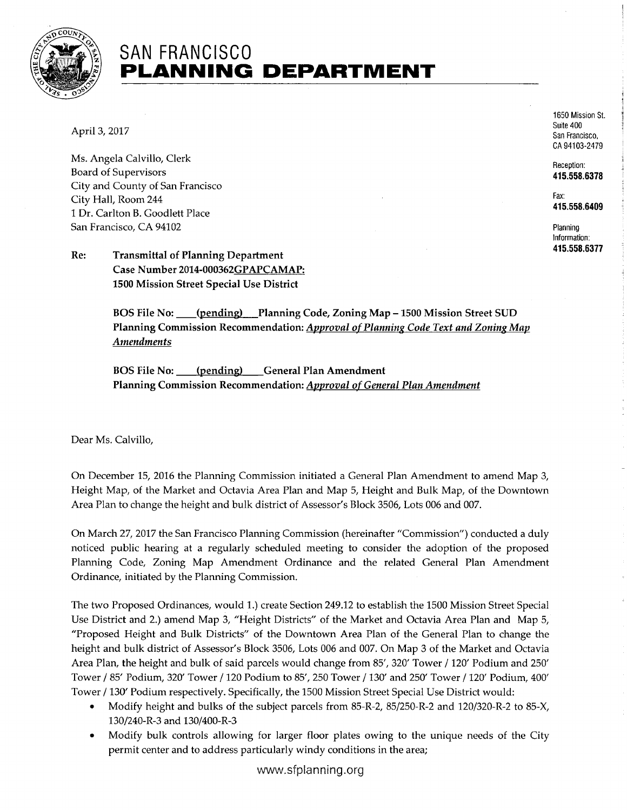

## SAN FRANCISCO **PLANNING DEPARTMENT**

April 3, 2017

Ms. Angela Calvillo, Clerk Board of Supervisors City and County of San Francisco City Hall, Room 244 1 Dr. Carlton B. Goodlett Place San Francisco, CA 94102

Re: Transmittal of Planning Department Case Number 2014-000362GPAPCAMAP: 1500 Mission Street Special Use District

> BOS File No: \_\_\_\_ (pending) Planning Code, Zoning Map – 1500 Mission Street SUD Planning Commission Recommendation: Approval of Planning Code Text and Zoning Map Amendments

BOS File No: \_\_\_\_(pending) \_\_\_ General Plan Amendment Planning Commission Recommendation: Approval of General Plan Amendment

Dear Ms. Calvillo,

On December 15, 2016 the Planning Commission initiated a General Plan Amendment to amend Map 3, Height Map, of the Market and Octavia Area Plan and Map 5, Height and Bulk Map, of the Downtown Area Plan to change the height and bulk district of Assessor's Block 3506, Lots 006 and 007.

On March 27, 2017 the San Francisco Planning Commission (hereinafter "Commission") conducted a duly noticed public hearing at a regularly scheduled meeting to consider the adoption of the proposed Planning Code, Zoning Map Amendment Ordinance and the related General Plan Amendment Ordinance, initiated by the Planning Commission.

The two Proposed Ordinances, would 1.) create Section 249.12 to establish the 1500 Mission Street Special Use District and 2.) amend Map 3, "Height Districts" of the Market and Octavia Area Plan and Map 5, "Proposed Height and Bulk Districts" of the Downtown Area Plan of the General Plan to change the height and bulk district of Assessor's Block 3506, Lots 006 and 007. On Map 3 of the Market and Octavia Area Plan, the height and bulk of said parcels would change from 85', 320' Tower / 120' Podium and 250' Tower / 85' Podium, 320' Tower / 120 Podium to 85', 250 Tower / 130' and 250' Tower / 120' Podium, 400' Tower / 130' Podium respectively. Specifically, the 1500 Mission Street Special Use District would:

- Modify height and bulks of the subject parcels from 85-R-2, 85/250-R-2 and 120/320-R-2 to 85-X, 130/240-R-3 and 130/400-R-3
- Modify bulk controls allowing for larger floor plates owing to the unique needs of the City permit center and to address particularly windy conditions in the area;

1650 Mission St. Suite 400 San Francisco, CA 94103-2479

Reception: 415.558.6378

Fax: 415.558.6409

Planning Information: 415.558.6377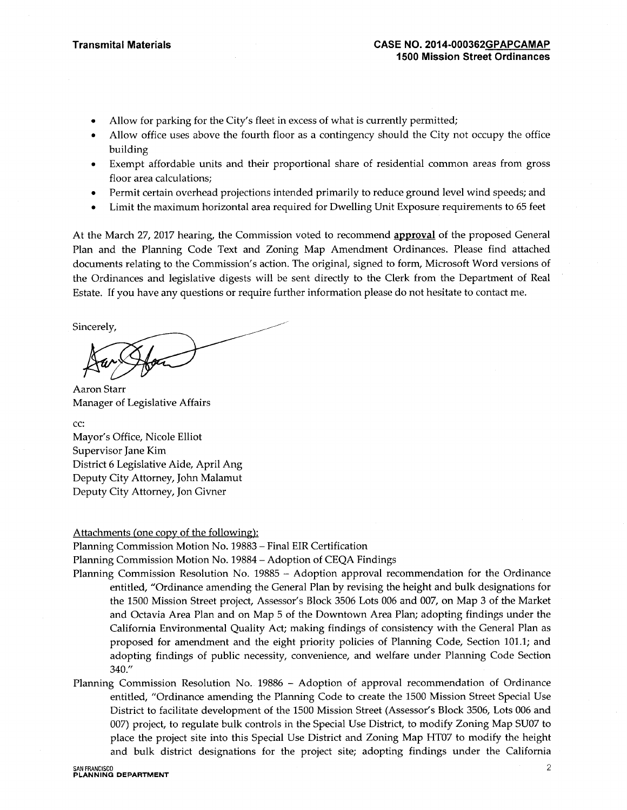- Allow for parking for the City's fleet in excess of what is currently permitted;
- Allow office uses above the fourth floor as a contingency should the City not occupy the office building
- Exempt affordable units and their proportional share of residential common areas from gross floor area calculations;
- Permit certain overhead projections intended primarily to reduce ground level wind speeds; and
- Limit the maximum horizontal area required for Dwelling Unit Exposure requirements to 65 feet

At the March 27, 2017 hearing, the Commission voted to recommend **approval** of the proposed General Plan and the Planning Code Text and Zoning Map Amendment Ordinances. Please find attached documents relating to the Commission's action. The original, signed to form, Microsoft Word versions of the Ordinances and legislative digests will be sent directly to the Clerk from the Department of Real Estate. If you have any questions or require further information please do not hesitate to contact me.

Sincerely,

Aaron Starr Manager of Legislative Affairs

cc: Mayor's Office, Nicole Elliot Supervisor Jane Kim District 6 Legislative Aide, April Ang Deputy City Attorney, John Malamut Deputy City Attorney, Jon Givner

## Attachments (one copy of the following):

Planning Commission Motion No. 19883 - Final EIR Certification

Planning Commission Motion No. 19884 - Adoption of CEQA Findings

- Planning Commission Resolution No. 19885 Adoption approval recommendation for the Ordinance entitled, "Ordinance amending the General Plan by revising the height and bulk designations for the 1500 Mission Street project, Assessor's Block 3506 Lots 006 and 007, on Map 3 of the Market and Octavia Area Plan and on Map 5 of the Downtown Area Plan; adopting findings under the California Environmental Quality Act; making findings of consistency with the General Plan as proposed for amendment and the eight priority policies of Planning Code, Section 101.1; and adopting findings of public necessity, convenience, and welfare under Planning Code Section 340."
- Planning Commission Resolution No. 19886 Adoption of approval recommendation of Ordinance entitled, "Ordinance amending the Planning Code to create the 1500 Mission Street Special Use District to facilitate development of the 1500 Mission Street (Assessor's Block 3506, Lots 006 and 007) project, to regulate bulk controls in the Special Use District, to modify Zoning Map SU07 to place the project site into this Special Use District and Zoning Map HT07 to modify the height and bulk district designations for the project site; adopting findings under the California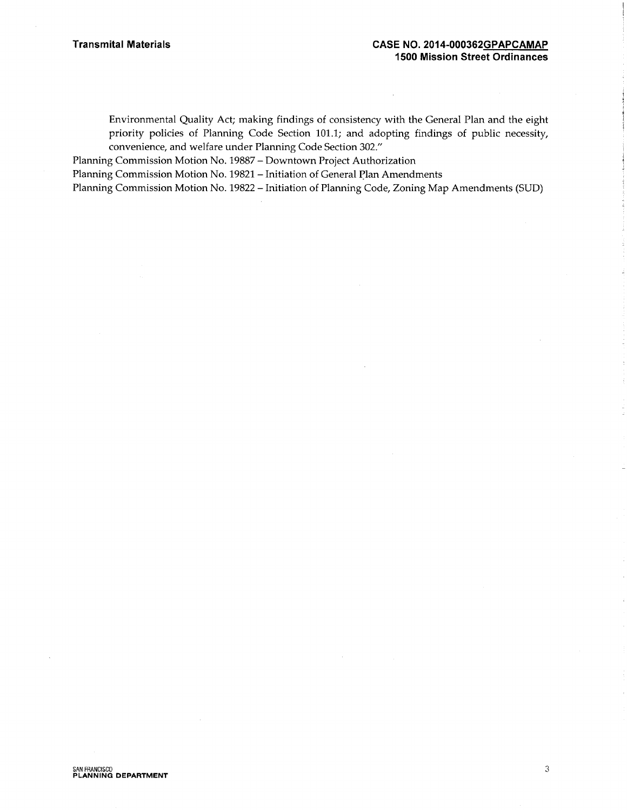Environmental Quality Act; making findings of consistency with the General Plan and the eight priority policies of Planning Code Section 101.1; and adopting findings of public necessity, convenience, and welfare under Planning Code Section 302."

Planning Commission Motion No. 19887 - Downtown Project Authorization

Planning Commission Motion No. 19821 - Initiation of General Plan Amendments

Planning Commission Motion No. 19822 - Initiation of Planning Code, Zoning Map Amendments (SUD)